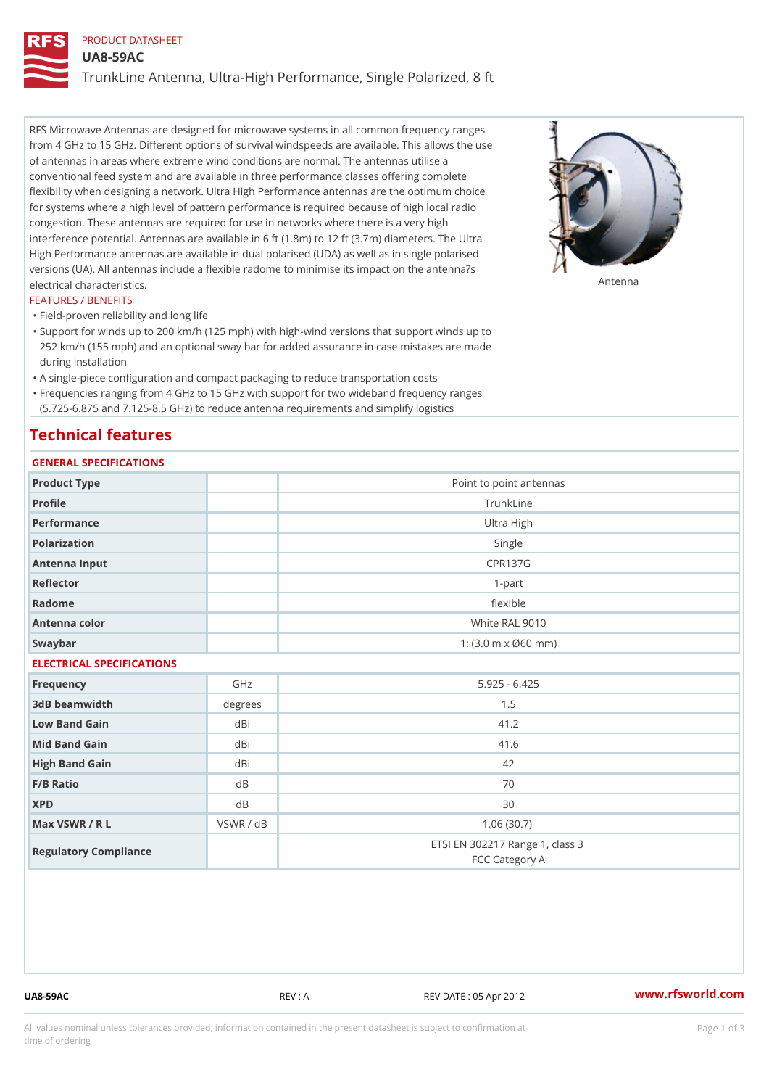### PRODUCT DATASHEET

UA8-59AC

TrunkLine Antenna, Ultra-High Performance, Single Polarized, 8 ft

RFS Microwave Antennas are designed for microwave systems in all common frequency ranges from 4 GHz to 15 GHz. Different options of survival windspeeds are available. This allows the use of antennas in areas where extreme wind conditions are normal. The antennas utilise a conventional feed system and are available in three performance classes offering complete flexibility when designing a network. Ultra High Performance antennas are the optimum choice for systems where a high level of pattern performance is required because of high local radio congestion. These antennas are required for use in networks where there is a very high interference potential. Antennas are available in 6 ft (1.8m) to 12 ft (3.7m) diameters. The Ultra High Performance antennas are available in dual polarised (UDA) as well as in single polarised versions (UA). All antennas include a flexible radome to minimise its impact on the antenna?s electrical characteristics. Antenna

#### FEATURES / BENEFITS

"Field-proven reliability and long life

- Support for winds up to 200 km/h (125 mph) with high-wind versions that support winds up to " 252 km/h (155 mph) and an optional sway bar for added assurance in case mistakes are made during installation
- "A single-piece configuration and compact packaging to reduce transportation costs
- Frequencies ranging from 4 GHz to 15 GHz with support for two wideband frequency ranges "
- (5.725-6.875 and 7.125-8.5 GHz) to reduce antenna requirements and simplify logistics

## Technical features

## GENERAL SPECIFICATIONS

| GENERAL SELGIFICATIONS    |                |                                                   |  |  |
|---------------------------|----------------|---------------------------------------------------|--|--|
| Product Type              |                | Point to point antennas                           |  |  |
| Profile                   | TrunkLine      |                                                   |  |  |
| Performance               |                | Ultra High                                        |  |  |
| Polarization              |                | Single                                            |  |  |
| Antenna Input             | <b>CPR137G</b> |                                                   |  |  |
| Reflector                 | $1 - p$ art    |                                                   |  |  |
| Radome                    | flexible       |                                                   |  |  |
| Antenna color             |                | White RAL 9010                                    |  |  |
| Swaybar                   |                | 1: $(3.0 m \times 060 mm)$                        |  |  |
| ELECTRICAL SPECIFICATIONS |                |                                                   |  |  |
| Frequency                 | GHz            | $5.925 - 6.425$                                   |  |  |
| 3dB beamwidth             | degree         | 1.5                                               |  |  |
| Low Band Gain             | dBi            | 41.2                                              |  |  |
| Mid Band Gain             | dBi            | 41.6                                              |  |  |
| High Band Gain            | dBi            | 42                                                |  |  |
| F/B Ratio                 | d B            | 70                                                |  |  |
| <b>XPD</b>                | d B            | 30                                                |  |  |
| Max VSWR / R L            | VSWR / dB      | 1.06(30.7)                                        |  |  |
| Regulatory Compliance     |                | ETSI EN 302217 Range 1, class 3<br>FCC Category A |  |  |

UA8-59AC REV : A REV DATE : 05 Apr 2012 [www.](https://www.rfsworld.com)rfsworld.com

All values nominal unless tolerances provided; information contained in the present datasheet is subject to Pcapgeign mation time of ordering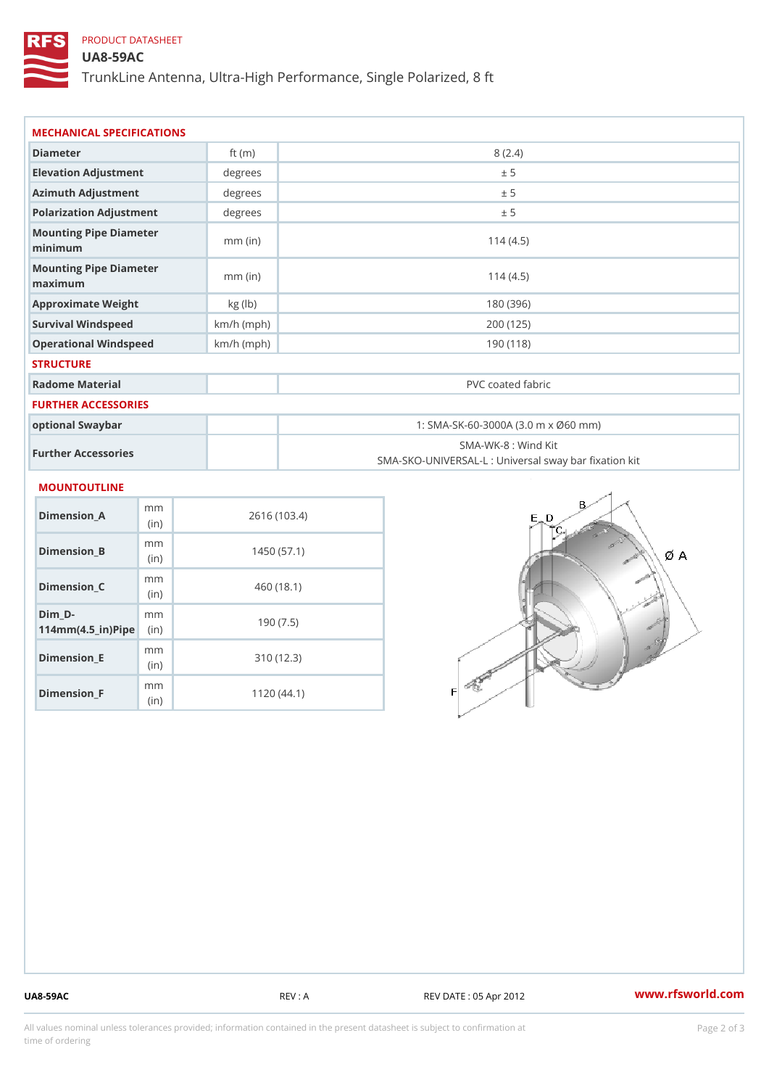## PRODUCT DATASHEET

### UA8-59AC

TrunkLine Antenna, Ultra-High Performance, Single Polarized, 8 ft

| MECHANICAL SPECIFICATIONS                                 |              |                                                                          |  |  |
|-----------------------------------------------------------|--------------|--------------------------------------------------------------------------|--|--|
| Diameter                                                  | ft $(m)$     | 8(2.4)                                                                   |  |  |
| Elevation Adjustment                                      | degree       | ± 5                                                                      |  |  |
| Azimuth Adjustment                                        | degrees      | ± 5                                                                      |  |  |
| Polarization Adjustment                                   | degrees      | ± 5                                                                      |  |  |
| Mounting Pipe Diameter<br>minimum                         | $mm$ (in)    | 114(4.5)                                                                 |  |  |
| Mounting Pipe Diameter<br>maximum                         | $mm$ (in)    | 114(4.5)                                                                 |  |  |
| Approximate Weight                                        | kg (1b)      | 180 (396)                                                                |  |  |
| Survival Windspeed                                        | $km/h$ (mph) | 200 (125)                                                                |  |  |
| Operational Windspeed                                     | $km/h$ (mph) | 190 (118)                                                                |  |  |
| <b>STRUCTURE</b>                                          |              |                                                                          |  |  |
| Radome Material                                           |              | PVC coated fabric                                                        |  |  |
| FURTHER ACCESSORIES                                       |              |                                                                          |  |  |
| optional Swaybar                                          |              | 1: SMA-SK-60-3000A (3.0 m x Ø60 mm)                                      |  |  |
| Further Accessories                                       |              | SMA-WK-8 : Wind Kit<br>SMA-SKO-UNIVERSAL-L : Universal sway bar fixation |  |  |
| <b>MOUNTOUTLINE</b>                                       |              |                                                                          |  |  |
| m m<br>Dimension_A<br>(in)                                |              | 2616 (103.4)                                                             |  |  |
| m m<br>$Dimension_B$<br>(in)                              |              | 1450(57.1)                                                               |  |  |
| m m<br>$Dimension_C$<br>(in)                              |              | 460 (18.1)                                                               |  |  |
| $Dim_D -$<br>m m<br>$114$ m m (4.5_ir) $\mathbb{R}$ imple |              | 190(7.5)                                                                 |  |  |
| m m<br><b>B</b> the control of the control                |              | 0.401400                                                                 |  |  |

Dimension\_E

Dimension\_F

(in)

m<sub>m</sub> (in)

310 (12.3)

1120 (44.1)

UA8-59AC REV : A REV : A REV DATE : 05 Apr 2012 WWW.rfsworld.com